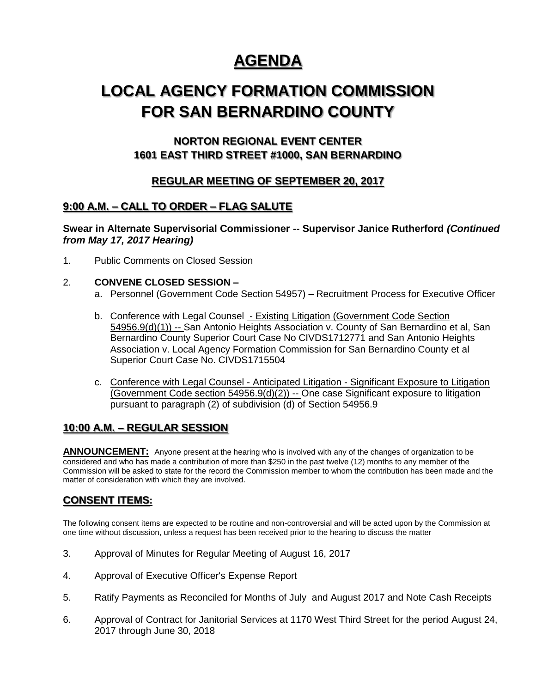# **AGENDA**

# **LOCAL AGENCY FORMATION COMMISSION FOR SAN BERNARDINO COUNTY**

## **NORTON REGIONAL EVENT CENTER 1601 EAST THIRD STREET #1000, SAN BERNARDINO**

## **REGULAR MEETING OF SEPTEMBER 20, 2017**

## **9:00 A.M. – CALL TO ORDER – FLAG SALUTE**

**Swear in Alternate Supervisorial Commissioner -- Supervisor Janice Rutherford** *(Continued from May 17, 2017 Hearing)*

1. Public Comments on Closed Session

### 2. **CONVENE CLOSED SESSION –**

- a. Personnel (Government Code Section 54957) Recruitment Process for Executive Officer
- b. Conference with Legal Counsel Existing Litigation (Government Code Section 54956.9(d)(1)) -- San Antonio Heights Association v. County of San Bernardino et al, San Bernardino County Superior Court Case No CIVDS1712771 and San Antonio Heights Association v. Local Agency Formation Commission for San Bernardino County et al Superior Court Case No. CIVDS1715504
- c. Conference with Legal Counsel Anticipated Litigation Significant Exposure to Litigation (Government Code section 54956.9(d)(2)) -- One case Significant exposure to litigation pursuant to paragraph (2) of subdivision (d) of Section 54956.9

## **10:00 A.M. – REGULAR SESSION**

ANNOUNCEMENT: Anyone present at the hearing who is involved with any of the changes of organization to be considered and who has made a contribution of more than \$250 in the past twelve (12) months to any member of the Commission will be asked to state for the record the Commission member to whom the contribution has been made and the matter of consideration with which they are involved.

## **CONSENT ITEMS:**

The following consent items are expected to be routine and non-controversial and will be acted upon by the Commission at one time without discussion, unless a request has been received prior to the hearing to discuss the matter

- 3. Approval of Minutes for Regular Meeting of August 16, 2017
- 4. Approval of Executive Officer's Expense Report
- 5. Ratify Payments as Reconciled for Months of July and August 2017 and Note Cash Receipts
- 6. Approval of Contract for Janitorial Services at 1170 West Third Street for the period August 24, 2017 through June 30, 2018